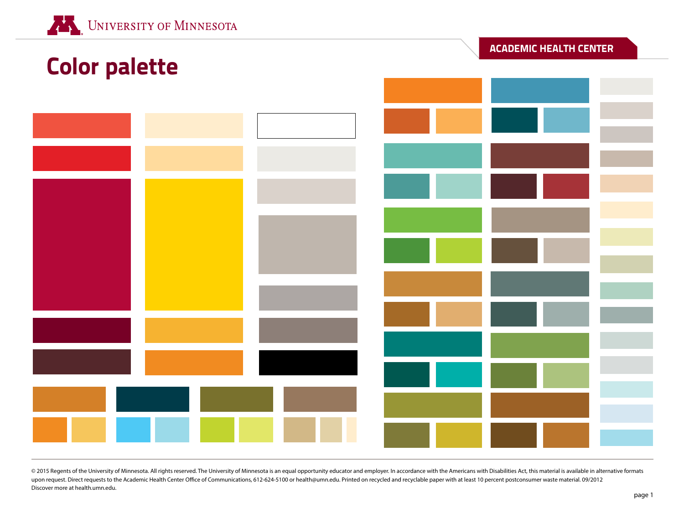|                      |  |  | <b>ACADEMIC HEALTH CENTER</b> |  |  |
|----------------------|--|--|-------------------------------|--|--|
| <b>Color palette</b> |  |  |                               |  |  |
|                      |  |  |                               |  |  |
|                      |  |  |                               |  |  |
|                      |  |  |                               |  |  |
|                      |  |  |                               |  |  |
|                      |  |  |                               |  |  |
|                      |  |  |                               |  |  |
|                      |  |  |                               |  |  |
|                      |  |  |                               |  |  |
|                      |  |  |                               |  |  |
|                      |  |  |                               |  |  |
|                      |  |  |                               |  |  |
|                      |  |  |                               |  |  |
|                      |  |  |                               |  |  |
|                      |  |  |                               |  |  |
|                      |  |  |                               |  |  |
|                      |  |  |                               |  |  |
|                      |  |  |                               |  |  |
|                      |  |  |                               |  |  |
|                      |  |  |                               |  |  |
|                      |  |  |                               |  |  |

© 2015 Regents of the University of Minnesota. All rights reserved. The University of Minnesota is an equal opportunity educator and employer. In accordance with the Americans with Disabilities Act, this material is availa upon request. Direct requests to the Academic Health Center Office of Communications, 612-624-5100 or health@umn.edu. Printed on recycled and recyclable paper with at least 10 percent postconsumer waste material. 09/2012 Discover more at health.umn.edu.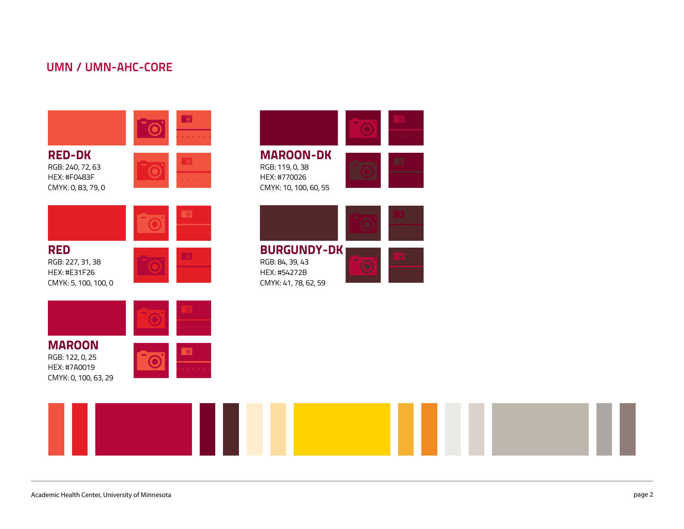## **UMN / UMN-AHC-CORE**





HEX: #7a0019

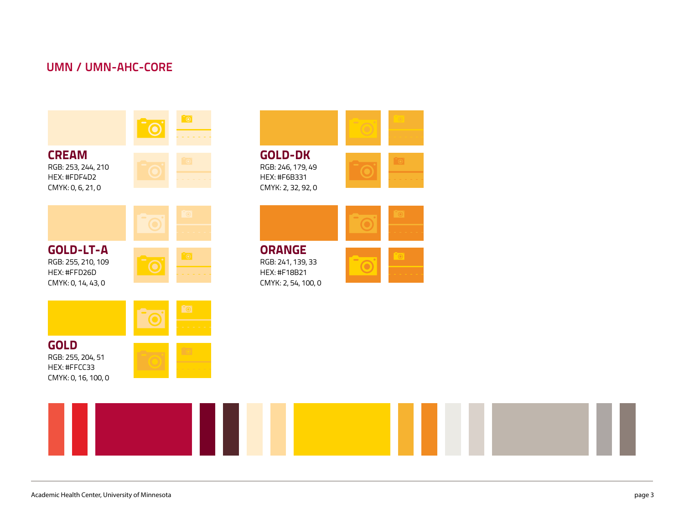## **UMN / UMN-AHC-CORE**

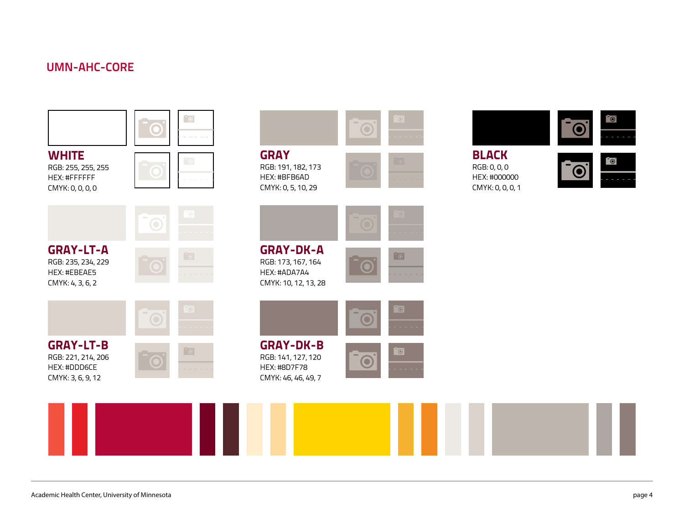# **UMN-AHC-CORE**

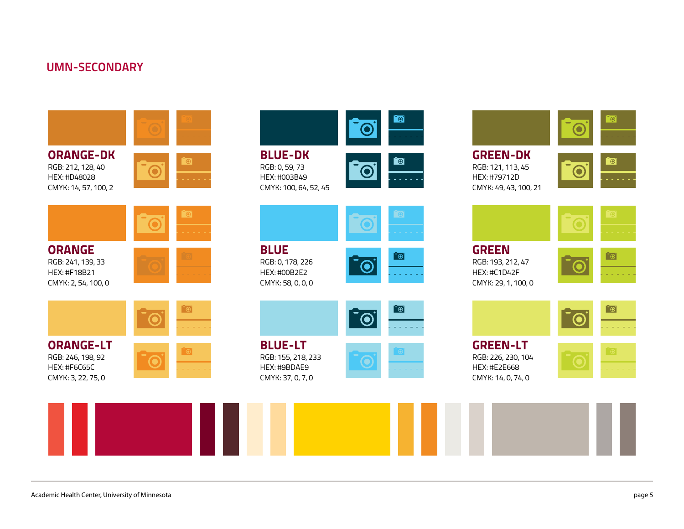## **UMN-SECONDARY**





**GREEN-LT** RGB: 226, 230, 104 HEX: #E2E668 CMYK: 14, 0, 74, 0





 $\bullet$ 

 $\blacksquare$ 

<u>io,</u>

 $\bullet$ 

 $\bullet$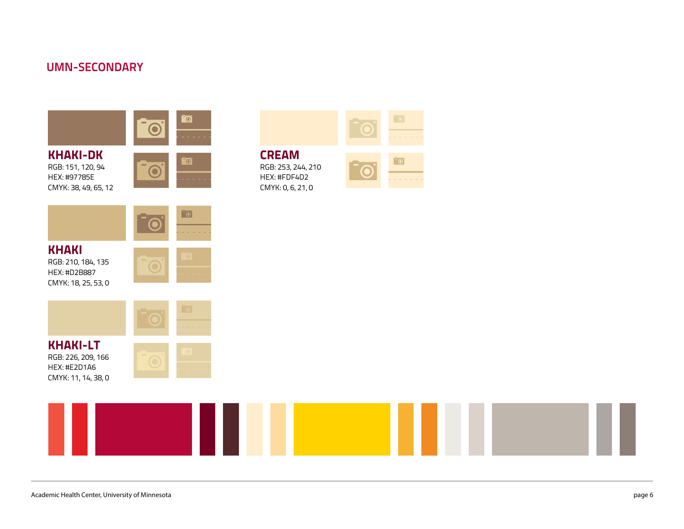## **UMN-SECONDARY**





**KHAKI-LT** RGB: 226, 209, 166 HEX: #E2D1A6 CMYK: 11, 14, 38, 0









 $\bullet$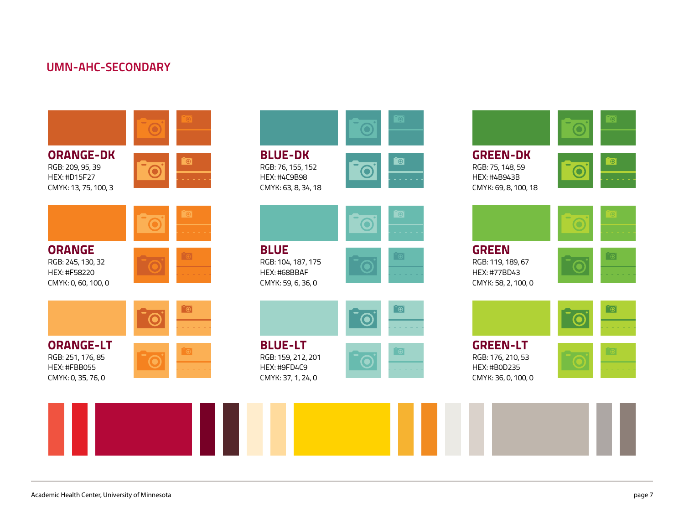



**GREEN** RGB: 119, 189, 67 HEX: #77BD43 CMYK: 58, 2, 100, 0





**GREEN-LT** RGB: 176, 210, 53 HEX: #B0D235 CMYK: 36, 0, 100, 0

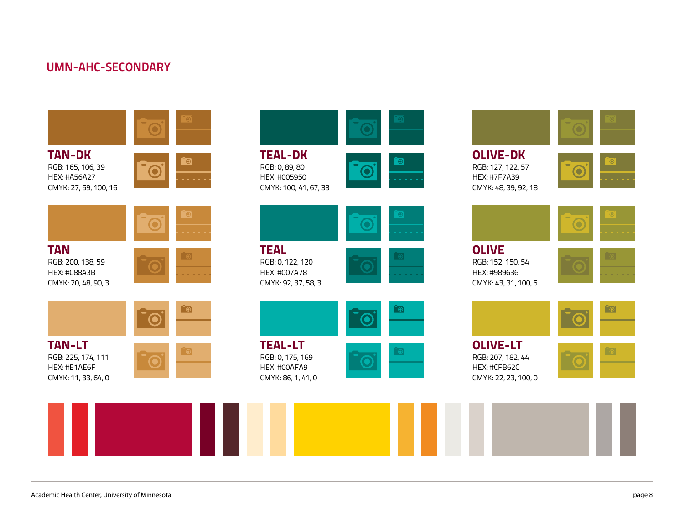



HEX: #005950 CMYK: 100, 41, 67, 33





RGB: 0, 122, 120 CMYK: 92, 37, 58, 3





RGB: 0, 175, 169 CMYK: 86, 1, 41, 0





**OLIVE** RGB: 152, 150, 54 HEX: #989636 CMYK: 43, 31, 100, 5







RGB: 207, 182, 44 HEX: #CFB62C CMYK: 22, 23, 100, 0



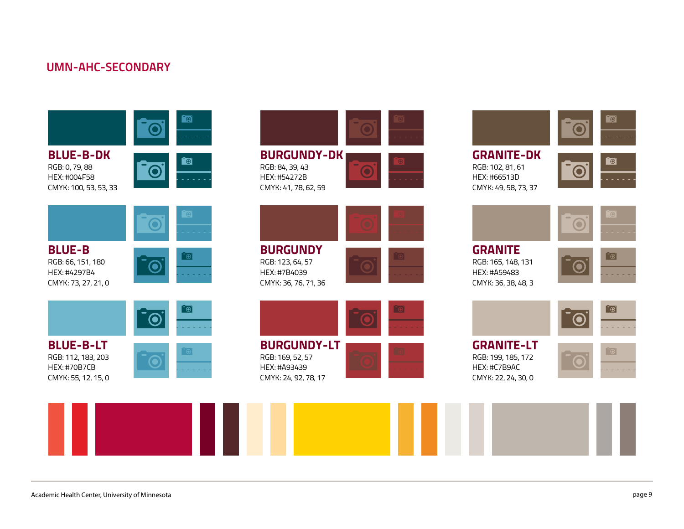$\bullet$ **BLUE-B-DK**  $\blacksquare$ RGB: 0, 79, 88 RGB: 84, 39, 43 HEX: #004F58 HEX: #54272B CMYK: 41, 78, 62, 59 CMYK: 100, 53, 53, 33 <u>්ල </u> **BLUE-B BURGUNDY** RGB: 66, 151, 180 RGB: 123, 64, 57  $(\mathbf{O})$ HEX: #4297B4 HEX: #7B4039 CMYK: 73, 27, 21, 0 CMYK: 36, 76, 71, 36 [ල]  $\odot$ **BURGUNDY-LT BLUE-B-LT** ිම RGB: 112, 183, 203 RGB: 169, 52, 57 HEX: #70B7CB HEX: #A93439 CMYK: 55, 12, 15, 0 CMYK: 24, 92, 78, 17









 $\overline{\bullet}$ 

**GRANITE** RGB: 165, 148, 131 HEX: #A59483 CMYK: 36, 38, 48, 3





**GRANITE-LT** RGB: 199, 185, 172 HEX: #C7B9AC CMYK: 22, 24, 30, 0

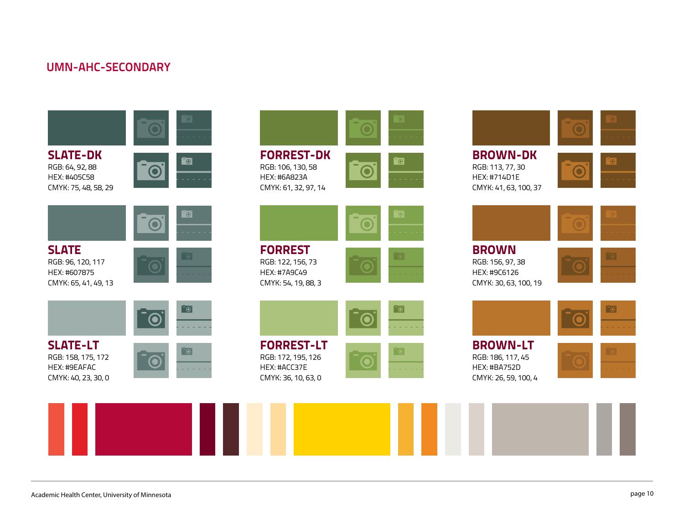$\overline{\circ}$ **SLATE-DK**  $\bullet$ RGB: 64, 92, 88 HEX: #405C58 CMYK: 75, 48, 58, 29 <u>්ල </u> **SLATE** RGB: 96, 120, 117 HEX: #607875 CMYK: 65, 41, 49, 13  $\overline{\bullet}$ 

**SLATE-LT** RGB: 158, 175, 172 HEX: #9EAFAC CMYK: 40, 23, 30, 0





RGB: 172, 195, 126 HEX: #ACC37E CMYK: 36, 10, 63, 0







**BROWN** RGB: 156, 97, 38 HEX: #9C6126 CMYK: 30, 63, 100, 19

CMYK: 26, 59, 100, 4